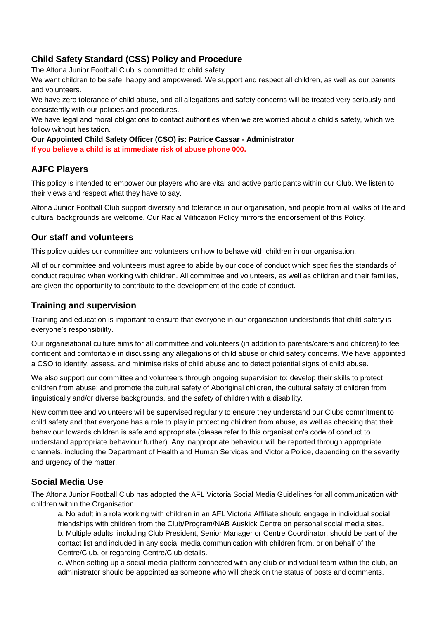# **Child Safety Standard (CSS) Policy and Procedure**

The Altona Junior Football Club is committed to child safety.

We want children to be safe, happy and empowered. We support and respect all children, as well as our parents and volunteers.

We have zero tolerance of child abuse, and all allegations and safety concerns will be treated very seriously and consistently with our policies and procedures.

We have legal and moral obligations to contact authorities when we are worried about a child's safety, which we follow without hesitation.

**Our Appointed Child Safety Officer (CSO) is: Patrice Cassar - Administrator**

**If you believe a child is at immediate risk of abuse phone 000.** 

### **AJFC Players**

This policy is intended to empower our players who are vital and active participants within our Club. We listen to their views and respect what they have to say.

Altona Junior Football Club support diversity and tolerance in our organisation, and people from all walks of life and cultural backgrounds are welcome. Our Racial Vilification Policy mirrors the endorsement of this Policy.

### **Our staff and volunteers**

This policy guides our committee and volunteers on how to behave with children in our organisation.

All of our committee and volunteers must agree to abide by our code of conduct which specifies the standards of conduct required when working with children. All committee and volunteers, as well as children and their families, are given the opportunity to contribute to the development of the code of conduct.

## **Training and supervision**

Training and education is important to ensure that everyone in our organisation understands that child safety is everyone's responsibility.

Our organisational culture aims for all committee and volunteers (in addition to parents/carers and children) to feel confident and comfortable in discussing any allegations of child abuse or child safety concerns. We have appointed a CSO to identify, assess, and minimise risks of child abuse and to detect potential signs of child abuse.

We also support our committee and volunteers through ongoing supervision to: develop their skills to protect children from abuse; and promote the cultural safety of Aboriginal children, the cultural safety of children from linguistically and/or diverse backgrounds, and the safety of children with a disability.

New committee and volunteers will be supervised regularly to ensure they understand our Clubs commitment to child safety and that everyone has a role to play in protecting children from abuse, as well as checking that their behaviour towards children is safe and appropriate (please refer to this organisation's code of conduct to understand appropriate behaviour further). Any inappropriate behaviour will be reported through appropriate channels, including the Department of Health and Human Services and Victoria Police, depending on the severity and urgency of the matter.

# **Social Media Use**

The Altona Junior Football Club has adopted the AFL Victoria Social Media Guidelines for all communication with children within the Organisation.

a. No adult in a role working with children in an AFL Victoria Affiliate should engage in individual social friendships with children from the Club/Program/NAB Auskick Centre on personal social media sites. b. Multiple adults, including Club President, Senior Manager or Centre Coordinator, should be part of the contact list and included in any social media communication with children from, or on behalf of the Centre/Club, or regarding Centre/Club details.

c. When setting up a social media platform connected with any club or individual team within the club, an administrator should be appointed as someone who will check on the status of posts and comments.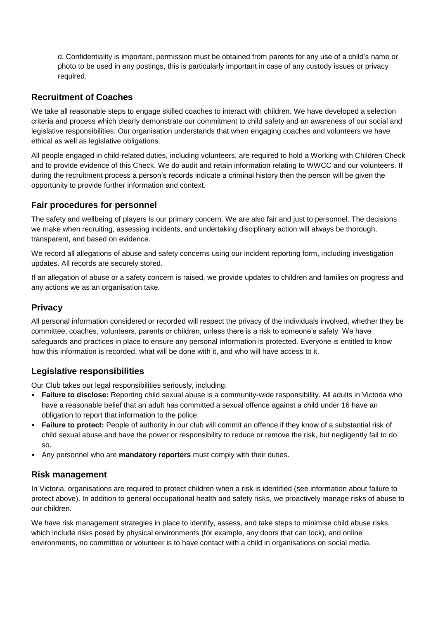d. Confidentiality is important, permission must be obtained from parents for any use of a child's name or photo to be used in any postings, this is particularly important in case of any custody issues or privacy required.

# **Recruitment of Coaches**

We take all reasonable steps to engage skilled coaches to interact with children. We have developed a selection criteria and process which clearly demonstrate our commitment to child safety and an awareness of our social and legislative responsibilities. Our organisation understands that when engaging coaches and volunteers we have ethical as well as legislative obligations.

All people engaged in child-related duties, including volunteers, are required to hold a Working with Children Check and to provide evidence of this Check. We do audit and retain information relating to WWCC and our volunteers. If during the recruitment process a person's records indicate a criminal history then the person will be given the opportunity to provide further information and context.

# **Fair procedures for personnel**

The safety and wellbeing of players is our primary concern. We are also fair and just to personnel. The decisions we make when recruiting, assessing incidents, and undertaking disciplinary action will always be thorough, transparent, and based on evidence.

We record all allegations of abuse and safety concerns using our incident reporting form, including investigation updates. All records are securely stored.

If an allegation of abuse or a safety concern is raised, we provide updates to children and families on progress and any actions we as an organisation take.

# **Privacy**

All personal information considered or recorded will respect the privacy of the individuals involved, whether they be committee, coaches, volunteers, parents or children, unless there is a risk to someone's safety. We have safeguards and practices in place to ensure any personal information is protected. Everyone is entitled to know how this information is recorded, what will be done with it, and who will have access to it.

# **Legislative responsibilities**

Our Club takes our legal responsibilities seriously, including:

- **Failure to disclose:** Reporting child sexual abuse is a community-wide responsibility. All adults in Victoria who have a reasonable belief that an adult has committed a sexual offence against a child under 16 have an obligation to report that information to the police.
- **Failure to protect:** People of authority in our club will commit an offence if they know of a substantial risk of child sexual abuse and have the power or responsibility to reduce or remove the risk, but negligently fail to do so.
- Any personnel who are **mandatory reporters** must comply with their duties.

# **Risk management**

In Victoria, organisations are required to protect children when a risk is identified (see information about failure to protect above). In addition to general occupational health and safety risks, we proactively manage risks of abuse to our children.

We have risk management strategies in place to identify, assess, and take steps to minimise child abuse risks, which include risks posed by physical environments (for example, any doors that can lock), and online environments, no committee or volunteer is to have contact with a child in organisations on social media.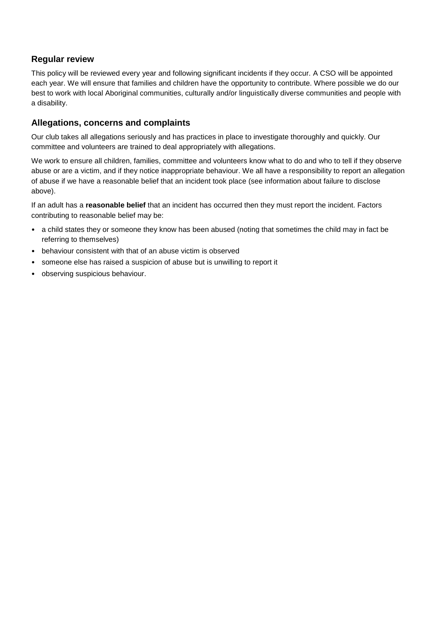# **Regular review**

This policy will be reviewed every year and following significant incidents if they occur. A CSO will be appointed each year. We will ensure that families and children have the opportunity to contribute. Where possible we do our best to work with local Aboriginal communities, culturally and/or linguistically diverse communities and people with a disability.

### **Allegations, concerns and complaints**

Our club takes all allegations seriously and has practices in place to investigate thoroughly and quickly. Our committee and volunteers are trained to deal appropriately with allegations.

We work to ensure all children, families, committee and volunteers know what to do and who to tell if they observe abuse or are a victim, and if they notice inappropriate behaviour. We all have a responsibility to report an allegation of abuse if we have a reasonable belief that an incident took place (see information about failure to disclose above).

If an adult has a **reasonable belief** that an incident has occurred then they must report the incident. Factors contributing to reasonable belief may be:

- a child states they or someone they know has been abused (noting that sometimes the child may in fact be referring to themselves)
- behaviour consistent with that of an abuse victim is observed
- someone else has raised a suspicion of abuse but is unwilling to report it
- observing suspicious behaviour.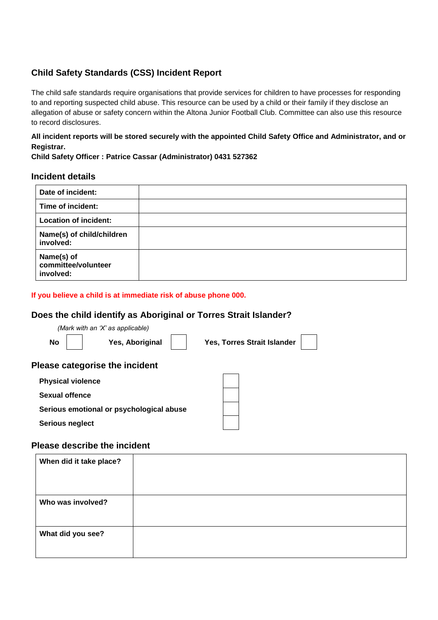# **Child Safety Standards (CSS) Incident Report**

The child safe standards require organisations that provide services for children to have processes for responding to and reporting suspected child abuse. This resource can be used by a child or their family if they disclose an allegation of abuse or safety concern within the Altona Junior Football Club. Committee can also use this resource to record disclosures.

### **All incident reports will be stored securely with the appointed Child Safety Office and Administrator, and or Registrar.**

### **Child Safety Officer : Patrice Cassar (Administrator) 0431 527362**

# **Incident details**

| Date of incident:                              |  |
|------------------------------------------------|--|
| Time of incident:                              |  |
| <b>Location of incident:</b>                   |  |
| Name(s) of child/children<br>involved:         |  |
| Name(s) of<br>committee/volunteer<br>involved: |  |

### **If you believe a child is at immediate risk of abuse phone 000.**

# **Does the child identify as Aboriginal or Torres Strait Islander?**

|                              | (Mark with an 'X' as applicable)         |                             |  |
|------------------------------|------------------------------------------|-----------------------------|--|
| <b>No</b>                    | Yes, Aboriginal                          | Yes, Torres Strait Islander |  |
|                              | <b>Please categorise the incident</b>    |                             |  |
| <b>Physical violence</b>     |                                          |                             |  |
| <b>Sexual offence</b>        |                                          |                             |  |
|                              | Serious emotional or psychological abuse |                             |  |
| Serious neglect              |                                          |                             |  |
| Dlaaaa daaasika tka isaldast |                                          |                             |  |

### **Please describe the incident**

| When did it take place? |  |
|-------------------------|--|
|                         |  |
| Who was involved?       |  |
| What did you see?       |  |